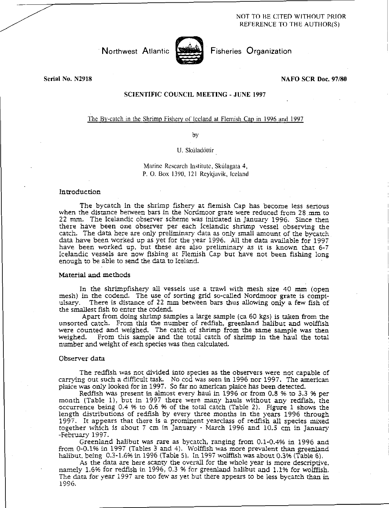# NOT TO BE CITED WITHOUT PRIOR REFERENCE TO THE AUTHOR(S)



Northwest Atlantic **Strate** Fisheries Organization

# Serial No. N2918 NAFO SCR Doc. 97/80

# SCIENTIFIC COUNCIL MEETING - JUNE 1997

# The By-catch in the Shrimp Fishery of Iceland at Flemish Cap in 1996 and 1997

by

#### U. Skúladóttir

Marine Research Institute, Skulagata 4, P. 0. Box 1390, 121 Reykjavik, Iceland

### Introduction

The bycatch in the shrimp fishery at flemish Cap has become less serious when the distance between bars in the Nordmoor grate were reduced from 28 mm to 22 mm. The Icelandic observer scheme was initiated in January 1996. Since then there have been one observer per each Icelandic shrimp vessel observing the catch. The data here are only preliminary data as only small amount of the bycatch data have been worked up as yet for the year 1996. All the data available for 1997 have been worked up. but these are also preliminary as it is known that 6-7 Icelandic vessels are now fishing at Flemish Cap but have not been fishing long enough to be able to send the data to Iceland.

### Material and methods

In the shrirnpfishery all vessels use a trawl with mesh size 40 mm (open mesh) in the codend. The use of sorting grid so-called Nordmoor grate is compiulsary. There is distance of 22 mm between bars thus allowing only a few fish of the smallest fish to enter the codend.

Apart from doing shrimp samples a large sample (ca 60 kgs) is taken from the unsorted catch. From this the number of redfish, greenland halibut and wolffish were counted and weighed. The catch of shrimp from the same sample was then weighed. From this sample and the total catch of shrimp in the haul the total number and weight of each species was then calculated.

# Observer data

The redfish was not divided into species as the observers were not capable of carrying out such a difficult task. No cod was seen in 1996 nor 1997. The american plaice was only looked for in 1997. So far no american plaice has been detected.

Redfish was present in almost every haul in 1996 or from 0.8 % to 3.3 % per month (Table 1), but in 1997 there were many hauls without any redfish, the occurrence being 0.4 96 to 0.6 % of the total catch (Table 2). Figure 1 shows the length distributions of redfish by every three months in the years 1996 through 1997. It appears that there is a prominent yearclass of redfish all species mixed together which is about 7 cm in January - March 1996 and 10.5 cm in January -February 1997.

Greenland halibut was rare as bycatch, ranging from 0.1-0.4% in 1996 and from 0-0.1% in 1997 (Tables 3 and 4). Wolffish was more prevalent than greenland halibut, being 0.3-1.6% in 1996 (Table 5). In 1997 wolffish was about 0.3% (Table 6),

As the data are here scanty the overall for the whole year is more descriptive. namely 1.6% for redfish in 1996, 0,3 % for greenland halibut and 1.1% for wolffish, The data for year 1997 are too few as yet but there appears to be less bycatch than in 1996.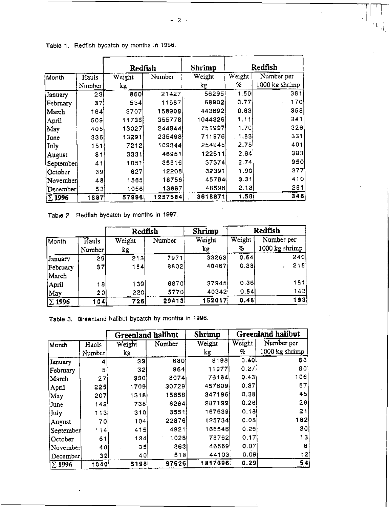$\mathbb{F}_{\mathbb{F}_p}$ 

|               |        | Redfish |         | Shrimp  | Redfish |                |
|---------------|--------|---------|---------|---------|---------|----------------|
| Month         | Hauls  | Weight  | Number  | Weight  | Weight  | Number per     |
|               | Number | kg      |         | kg      | %       | 1000 kg shrimp |
| January       | 23     | 860     | 21427   | 56295   | 1.50    | 381            |
| February      | 37     | 534     | 11687   | 68902   | 0.77    | 170            |
| March         | 164    | 3707    | 158908  | 443692  | 0.83    | 358            |
| April         | 509    | 11735   | 355778  | 1044326 | 1.11    | 341            |
| May           | 405    | 13027   | 244844  | 751997  | 1.70    | 326            |
| June          | 336    | 13291   | 235498  | 711976  | 1.83    | 331            |
| July          | 151    | 7212    | 102344  | 254945  | 2.75    | 401            |
| August        | 81     | 3331    | 46951   | 122611  | 2.64    | 383            |
| September     | 41     | 1051    | 35516   | 37374   | 2.74    | 950            |
| October       | 39     | 627     | 12208   | 32391   | 1.90    | 377            |
| November      | 48     | 1565    | 18756   | 45764   | 3.31    | 410            |
| December      | 53     | 1056    | 13667   | 48598   | 2.13    | 281            |
| $\Sigma$ 1996 | 1887   | 57996   | 1257584 | 3618871 | 1.58    | 348            |

| Table 1. Redfish bycatch by months in 1996. |  |  |  |  |  |  |  |
|---------------------------------------------|--|--|--|--|--|--|--|
|---------------------------------------------|--|--|--|--|--|--|--|

Table 2. Redfish bycatch by months in 1997.

|               |        | Redfish          |        | <b>Shrimp</b> | <b>Redfish</b> |                |
|---------------|--------|------------------|--------|---------------|----------------|----------------|
| Month         | Hauls  | Number<br>Weight | Weight | Weight        | Number per     |                |
|               | Number | kg               |        | kg            | %              | 1000 kg shrimp |
| January       | 29     | 213              | 7971   | 33263         | 0.64           | 240            |
| February      | 37I    | 154              | 8802   | 40467         | 0.381          | 218            |
| March         |        |                  |        |               |                |                |
| April         | 18     | 139              | 6870   | 37945i        | 0.36           | 181            |
| May           | 20     | 220              | 5770   | 40342         | 0.54           | 143)           |
| $\Sigma$ 1996 | 104    | 726              | 29413  | 152017        | 0.48           | 193            |

Table 3. Greenland halibut bycatch by months in 1996.

|               |                 | <b>Greenland halibut</b> |        | <b>Shrimp</b> | <b>Greenland halibut</b> |                |
|---------------|-----------------|--------------------------|--------|---------------|--------------------------|----------------|
| Month         | Hauls           | Weight                   | Number | Weight        | Weight                   | Number per     |
|               | Number          | kg                       |        | kg            | %                        | 1000 kg shrimp |
| January       | 4               | 33                       | 680    | 8198          | 0.40                     | 83             |
| February      | 5               | 32                       | 964    | 11977         | 0.27                     | 80             |
| March         | 27 <sup>1</sup> | 330                      | 8074   | 76164         | 0.43                     | 106            |
| April         | 225             | 1709                     | 30729  | 457609        | 0.37                     | 67             |
| May           | 207             | 1318                     | 15658  | 347196        | 0.38                     | 45             |
| June          | 142             | 738                      | 8264   | 287199        | 0.26                     | 29             |
| July          | 113             | 310                      | 3551   | 167539        | 0.181                    | 21             |
| August        | 70              | 104                      | 22876  | 125734        | 0.08                     | 182            |
| September     | 114             | 415                      | 4921   | 166546        | 0.25                     | 30             |
| October       | 61              | 134                      | 1028   | 78762         | 0.17                     | 13             |
| November      | 40              | 35                       | 363    | 46669         | 0.07                     | 8              |
| December      | 32              | 40                       | 518    | 44103         | 0.09                     | 12             |
| $\Sigma$ 1996 | 1040            | 5198                     | 97626  | 1817696       | 0.29                     | 54             |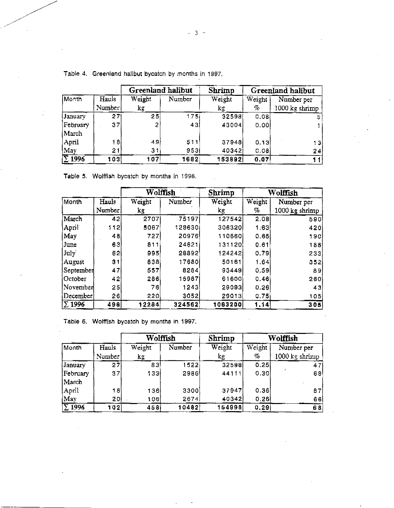|               | Hauls<br>Number | Greenland halibut                |        | <b>Shrimp</b> | Greenland halibut        |                              |
|---------------|-----------------|----------------------------------|--------|---------------|--------------------------|------------------------------|
| Month         |                 | Weight<br>$\mathbf{k}\mathbf{g}$ | Number | Weight        | Weight<br>$\sigma_{\!c}$ | Number per<br>1000 kg shrimp |
| January       | 271             | 25                               | 175I   | kτ<br>32598   | 0.08                     |                              |
| February      | 37              | າ                                | 43     | 43004         | 0.001                    |                              |
| March         |                 |                                  |        |               |                          |                              |
| April         | 18              | 49                               | 511    | 37948         | 0.13                     | 13                           |
| May           | 21              | 31                               | 953    | 40342         | 0.08                     | 24                           |
| $\Sigma$ 1996 | 103             | 107                              | 1682   | 153892        | 0.07                     |                              |

Table *4.* Greenland halibut bycatch by months in 1997.

Table 5. Wolffish bycatch by months in 1996.

|               |        | Wolffish      |        | Shrimp  | Wolffish |                |
|---------------|--------|---------------|--------|---------|----------|----------------|
| Month         | Hauls  | Weight        | Number | Weight  | Weight   | Number per     |
|               | Number | $\mathbf{kg}$ |        | kg.     | 50       | 1000 kg shrimp |
| March         | 42     | 2707          | 75197  | 127542  | 2.08     | 590            |
| April         | 112)   | 5067          | 128630 | 306320  | 1:63     | 420            |
| May           | 48     | 727           | 20976  | 110660  | 0.65     | 190            |
| June          | 63     | 811           | 24621  | 131120  | 0.61     | 188            |
| July          | 62     | 995           | 28892  | 124242  | 0,79     | 233            |
| August        | 31     | 838           | 17680  | 50161   | 1.64     | 352            |
| September     | 47     | 557           | 8284   | 93449   | 0.59     | 89             |
| October       | 42     | 286           | 15987  | 61600   | 0.46     | 260            |
| November      | 25     | 76            | 1243   | 29093   | 0.26     | 43             |
| December      | 26     | 2201          | 3052   | 29013   | 0.75     | 105            |
| $\Sigma$ 1996 | 498    | 12284         | 324562 | 1063200 | 1.14     | 305            |

Table 6. Wolffish bycatch by months in 1997.

|                          |        | Wolffish     |        | Shrimp |        | Wolffish       |
|--------------------------|--------|--------------|--------|--------|--------|----------------|
| Month                    | Hauls  | Weight       | Number | Weight | Weight | Number per     |
|                          | Number | $k_{\infty}$ |        | kg     | $\%$   | 1000 kg shrimp |
| January                  | 271    | 831          | 1522   | 32598  | 0.251  | 47             |
| February                 | 37     | 1331         | 2986   | 44111  | 0.30   | 68             |
| March                    |        |              |        |        |        |                |
| April                    | 18     | 136          | 3300   | 37947  | 0,36   | 87             |
| May                      | 20     | 106          | 2674   | 40342  | 0.26   | 66             |
| $\overline{\Sigma}$ 1996 | 102    | 458          | 10482  | 154998 | 0.29   | 68             |